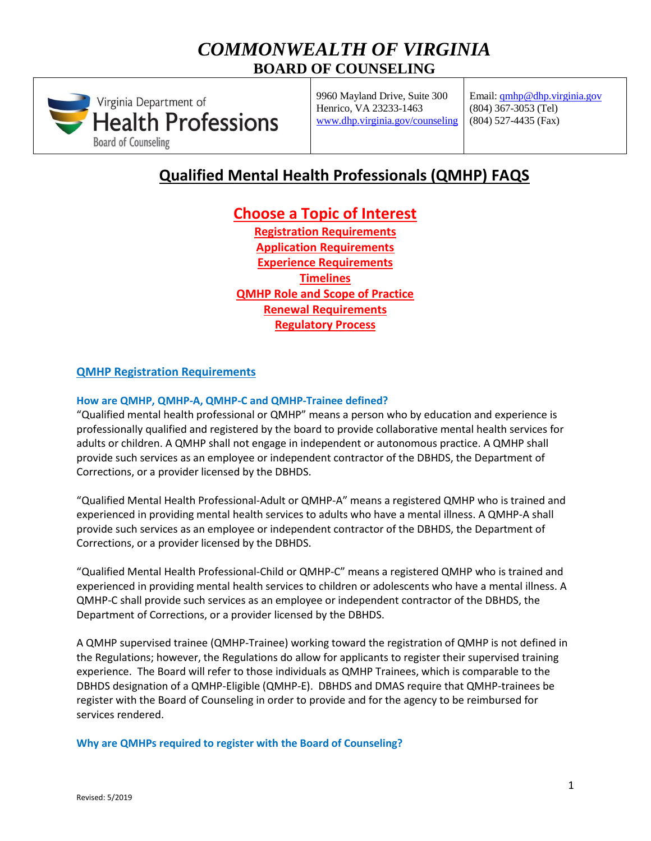# *COMMONWEALTH OF VIRGINIA* **BOARD OF COUNSELING**



9960 Mayland Drive, Suite 300 Henrico, VA 23233-1463 [www.dhp.virginia.gov/](http://www.dhp.virginia.gov/)counseling Email: [qmhp@dhp.virginia.gov](mailto:qmhp@dhp.virginia.gov) (804) 367-3053 (Tel) (804) 527-4435 (Fax)

# **Qualified Mental Health Professionals (QMHP) FAQS**

# **Choose a Topic of Interest**

**[Registration Requirements](#page-0-0) [Application Requirements](#page-4-0) [Experience Requirements](#page-6-0) [Timelines](#page-7-0) [QMHP Role and Scope of Practice](#page-7-1) [Renewal Requirements](#page-10-0) [Regulatory Process](#page-13-0)**

### <span id="page-0-0"></span>**QMHP Registration Requirements**

### **How are QMHP, QMHP-A, QMHP-C and QMHP-Trainee defined?**

"Qualified mental health professional or QMHP" means a person who by education and experience is professionally qualified and registered by the board to provide collaborative mental health services for adults or children. A QMHP shall not engage in independent or autonomous practice. A QMHP shall provide such services as an employee or independent contractor of the DBHDS, the Department of Corrections, or a provider licensed by the DBHDS.

"Qualified Mental Health Professional-Adult or QMHP-A" means a registered QMHP who is trained and experienced in providing mental health services to adults who have a mental illness. A QMHP-A shall provide such services as an employee or independent contractor of the DBHDS, the Department of Corrections, or a provider licensed by the DBHDS.

"Qualified Mental Health Professional-Child or QMHP-C" means a registered QMHP who is trained and experienced in providing mental health services to children or adolescents who have a mental illness. A QMHP-C shall provide such services as an employee or independent contractor of the DBHDS, the Department of Corrections, or a provider licensed by the DBHDS.

A QMHP supervised trainee (QMHP-Trainee) working toward the registration of QMHP is not defined in the Regulations; however, the Regulations do allow for applicants to register their supervised training experience. The Board will refer to those individuals as QMHP Trainees, which is comparable to the DBHDS designation of a QMHP-Eligible (QMHP-E). DBHDS and DMAS require that QMHP-trainees be register with the Board of Counseling in order to provide and for the agency to be reimbursed for services rendered.

**Why are QMHPs required to register with the Board of Counseling?**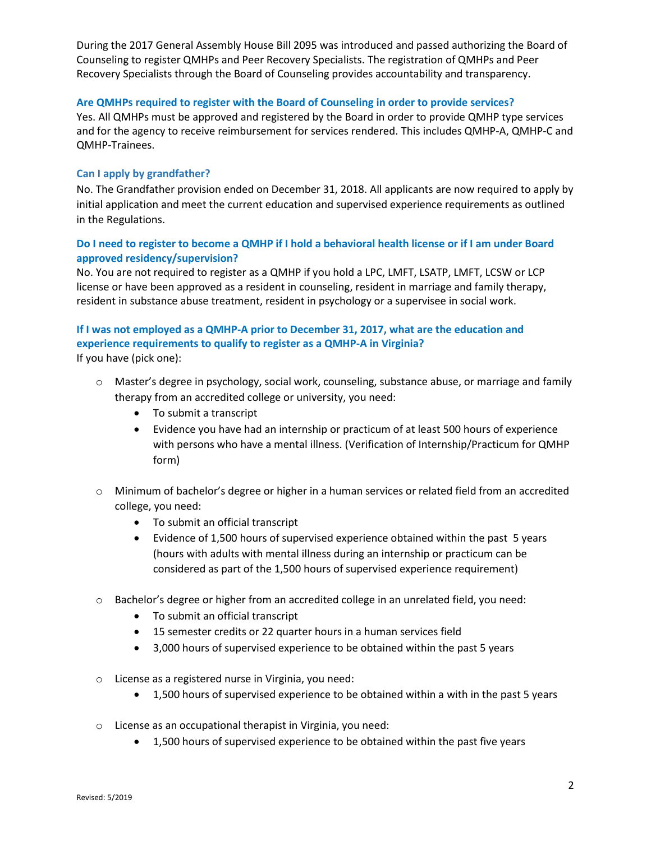During the 2017 General Assembly House Bill 2095 was introduced and passed authorizing the Board of Counseling to register QMHPs and Peer Recovery Specialists. The registration of QMHPs and Peer Recovery Specialists through the Board of Counseling provides accountability and transparency.

### **Are QMHPs required to register with the Board of Counseling in order to provide services?**

Yes. All QMHPs must be approved and registered by the Board in order to provide QMHP type services and for the agency to receive reimbursement for services rendered. This includes QMHP-A, QMHP-C and QMHP-Trainees.

### **Can I apply by grandfather?**

No. The Grandfather provision ended on December 31, 2018. All applicants are now required to apply by initial application and meet the current education and supervised experience requirements as outlined in the Regulations.

### **Do I need to register to become a QMHP if I hold a behavioral health license or if I am under Board approved residency/supervision?**

No. You are not required to register as a QMHP if you hold a LPC, LMFT, LSATP, LMFT, LCSW or LCP license or have been approved as a resident in counseling, resident in marriage and family therapy, resident in substance abuse treatment, resident in psychology or a supervisee in social work.

# **If I was not employed as a QMHP-A prior to December 31, 2017, what are the education and experience requirements to qualify to register as a QMHP-A in Virginia?**

If you have (pick one):

- o Master's degree in psychology, social work, counseling, substance abuse, or marriage and family therapy from an accredited college or university, you need:
	- To submit a transcript
	- Evidence you have had an internship or practicum of at least 500 hours of experience with persons who have a mental illness. (Verification of Internship/Practicum for QMHP form)
- o Minimum of bachelor's degree or higher in a human services or related field from an accredited college, you need:
	- To submit an official transcript
	- Evidence of 1,500 hours of supervised experience obtained within the past 5 years (hours with adults with mental illness during an internship or practicum can be considered as part of the 1,500 hours of supervised experience requirement)
- o Bachelor's degree or higher from an accredited college in an unrelated field, you need:
	- To submit an official transcript
	- 15 semester credits or 22 quarter hours in a human services field
	- 3,000 hours of supervised experience to be obtained within the past 5 years
- o License as a registered nurse in Virginia, you need:
	- 1,500 hours of supervised experience to be obtained within a with in the past 5 years
- o License as an occupational therapist in Virginia, you need:
	- 1,500 hours of supervised experience to be obtained within the past five years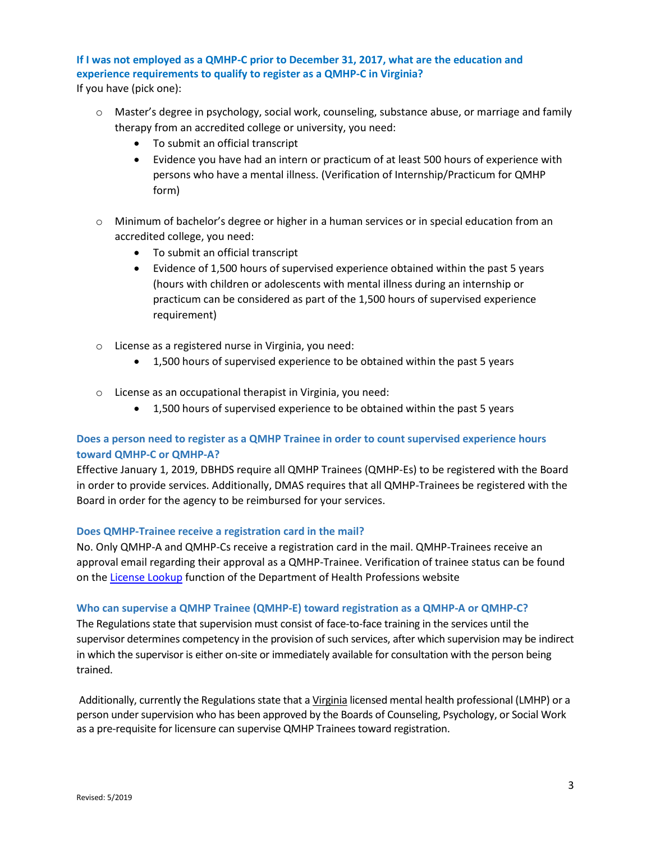## **If I was not employed as a QMHP-C prior to December 31, 2017, what are the education and experience requirements to qualify to register as a QMHP-C in Virginia?**

If you have (pick one):

- o Master's degree in psychology, social work, counseling, substance abuse, or marriage and family therapy from an accredited college or university, you need:
	- To submit an official transcript
	- Evidence you have had an intern or practicum of at least 500 hours of experience with persons who have a mental illness. (Verification of Internship/Practicum for QMHP form)
- $\circ$  Minimum of bachelor's degree or higher in a human services or in special education from an accredited college, you need:
	- To submit an official transcript
	- Evidence of 1,500 hours of supervised experience obtained within the past 5 years (hours with children or adolescents with mental illness during an internship or practicum can be considered as part of the 1,500 hours of supervised experience requirement)
- o License as a registered nurse in Virginia, you need:
	- 1,500 hours of supervised experience to be obtained within the past 5 years
- o License as an occupational therapist in Virginia, you need:
	- 1,500 hours of supervised experience to be obtained within the past 5 years

### **Does a person need to register as a QMHP Trainee in order to count supervised experience hours toward QMHP-C or QMHP-A?**

Effective January 1, 2019, DBHDS require all QMHP Trainees (QMHP-Es) to be registered with the Board in order to provide services. Additionally, DMAS requires that all QMHP-Trainees be registered with the Board in order for the agency to be reimbursed for your services.

### **Does QMHP-Trainee receive a registration card in the mail?**

No. Only QMHP-A and QMHP-Cs receive a registration card in the mail. QMHP-Trainees receive an approval email regarding their approval as a QMHP-Trainee. Verification of trainee status can be found on th[e License Lookup](https://dhp.virginiainteractive.org/Lookup/Index) function of the Department of Health Professions website

### **Who can supervise a QMHP Trainee (QMHP-E) toward registration as a QMHP-A or QMHP-C?**

The Regulations state that supervision must consist of face-to-face training in the services until the supervisor determines competency in the provision of such services, after which supervision may be indirect in which the supervisor is either on-site or immediately available for consultation with the person being trained.

Additionally, currently the Regulations state that a Virginia licensed mental health professional (LMHP) or a person under supervision who has been approved by the Boards of Counseling, Psychology, or Social Work as a pre-requisite for licensure can supervise QMHP Trainees toward registration.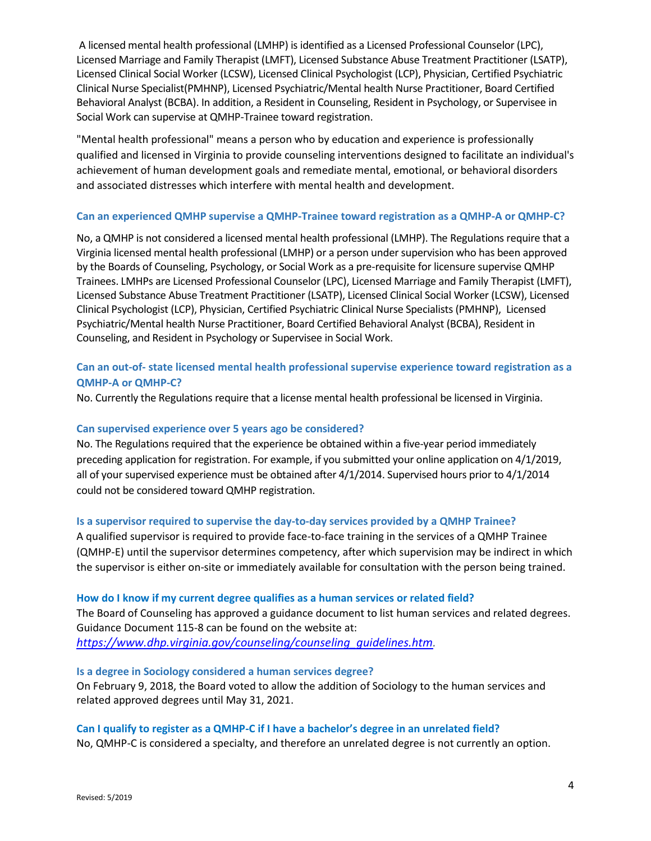A licensed mental health professional (LMHP) is identified as a Licensed Professional Counselor (LPC), Licensed Marriage and Family Therapist (LMFT), Licensed Substance Abuse Treatment Practitioner (LSATP), Licensed Clinical Social Worker (LCSW), Licensed Clinical Psychologist (LCP), Physician, Certified Psychiatric Clinical Nurse Specialist(PMHNP), Licensed Psychiatric/Mental health Nurse Practitioner, Board Certified Behavioral Analyst (BCBA). In addition, a Resident in Counseling, Resident in Psychology, or Supervisee in Social Work can supervise at QMHP-Trainee toward registration.

"Mental health professional" means a person who by education and experience is professionally qualified and licensed in Virginia to provide counseling interventions designed to facilitate an individual's achievement of human development goals and remediate mental, emotional, or behavioral disorders and associated distresses which interfere with mental health and development.

### **Can an experienced QMHP supervise a QMHP-Trainee toward registration as a QMHP-A or QMHP-C?**

No, a QMHP is not considered a licensed mental health professional (LMHP). The Regulations require that a Virginia licensed mental health professional (LMHP) or a person under supervision who has been approved by the Boards of Counseling, Psychology, or Social Work as a pre-requisite for licensure supervise QMHP Trainees. LMHPs are Licensed Professional Counselor (LPC), Licensed Marriage and Family Therapist (LMFT), Licensed Substance Abuse Treatment Practitioner (LSATP), Licensed Clinical Social Worker (LCSW), Licensed Clinical Psychologist (LCP), Physician, Certified Psychiatric Clinical Nurse Specialists (PMHNP), Licensed Psychiatric/Mental health Nurse Practitioner, Board Certified Behavioral Analyst (BCBA), Resident in Counseling, and Resident in Psychology or Supervisee in Social Work.

### **Can an out-of- state licensed mental health professional supervise experience toward registration as a QMHP-A or QMHP-C?**

No. Currently the Regulations require that a license mental health professional be licensed in Virginia.

### **Can supervised experience over 5 years ago be considered?**

No. The Regulations required that the experience be obtained within a five-year period immediately preceding application for registration. For example, if you submitted your online application on 4/1/2019, all of your supervised experience must be obtained after 4/1/2014. Supervised hours prior to 4/1/2014 could not be considered toward QMHP registration.

### **Is a supervisor required to supervise the day-to-day services provided by a QMHP Trainee?**

A qualified supervisor is required to provide face-to-face training in the services of a QMHP Trainee (QMHP-E) until the supervisor determines competency, after which supervision may be indirect in which the supervisor is either on-site or immediately available for consultation with the person being trained.

### **How do I know if my current degree qualifies as a human services or related field?**

The Board of Counseling has approved a guidance document to list human services and related degrees. Guidance Document 115-8 can be found on the website at: *[https://www.dhp.virginia.gov/counseling/counseling\\_guidelines.htm.](https://www.dhp.virginia.gov/counseling/counseling_guidelines.htm)* 

### **Is a degree in Sociology considered a human services degree?**

On February 9, 2018, the Board voted to allow the addition of Sociology to the human services and related approved degrees until May 31, 2021.

### **Can I qualify to register as a QMHP-C if I have a bachelor's degree in an unrelated field?**

No, QMHP-C is considered a specialty, and therefore an unrelated degree is not currently an option.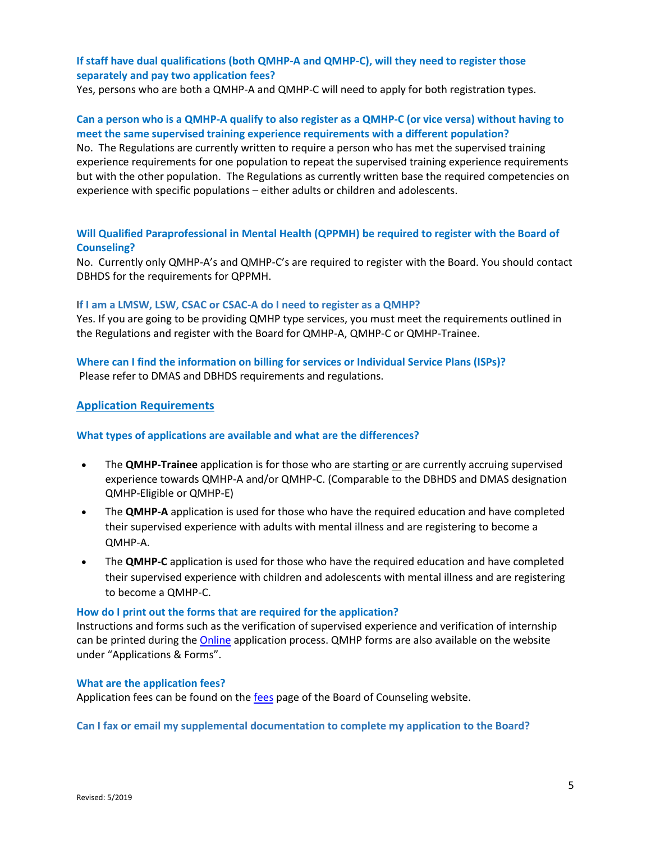### **If staff have dual qualifications (both QMHP-A and QMHP-C), will they need to register those separately and pay two application fees?**

Yes, persons who are both a QMHP-A and QMHP-C will need to apply for both registration types.

### **Can a person who is a QMHP-A qualify to also register as a QMHP-C (or vice versa) without having to meet the same supervised training experience requirements with a different population?**

No. The Regulations are currently written to require a person who has met the supervised training experience requirements for one population to repeat the supervised training experience requirements but with the other population. The Regulations as currently written base the required competencies on experience with specific populations – either adults or children and adolescents.

### **Will Qualified Paraprofessional in Mental Health (QPPMH) be required to register with the Board of Counseling?**

No. Currently only QMHP-A's and QMHP-C's are required to register with the Board. You should contact DBHDS for the requirements for QPPMH.

### I**f I am a LMSW, LSW, CSAC or CSAC-A do I need to register as a QMHP?**

Yes. If you are going to be providing QMHP type services, you must meet the requirements outlined in the Regulations and register with the Board for QMHP-A, QMHP-C or QMHP-Trainee.

## **Where can I find the information on billing for services or Individual Service Plans (ISPs)?**

Please refer to DMAS and DBHDS requirements and regulations.

### <span id="page-4-0"></span>**Application Requirements**

### **What types of applications are available and what are the differences?**

- The **QMHP-Trainee** application is for those who are starting or are currently accruing supervised experience towards QMHP-A and/or QMHP-C. (Comparable to the DBHDS and DMAS designation QMHP-Eligible or QMHP-E)
- The **QMHP-A** application is used for those who have the required education and have completed their supervised experience with adults with mental illness and are registering to become a QMHP-A.
- The **QMHP-C** application is used for those who have the required education and have completed their supervised experience with children and adolescents with mental illness and are registering to become a QMHP-C.

### **How do I print out the forms that are required for the application?**

Instructions and forms such as the verification of supervised experience and verification of internship can be printed during the **Online application process. QMHP** forms are also available on the website under "Applications & Forms".

### **What are the application fees?**

Application fees can be found on th[e fees](https://www.dhp.virginia.gov/counseling/counseling_fees.htm) page of the Board of Counseling website.

### **Can I fax or email my supplemental documentation to complete my application to the Board?**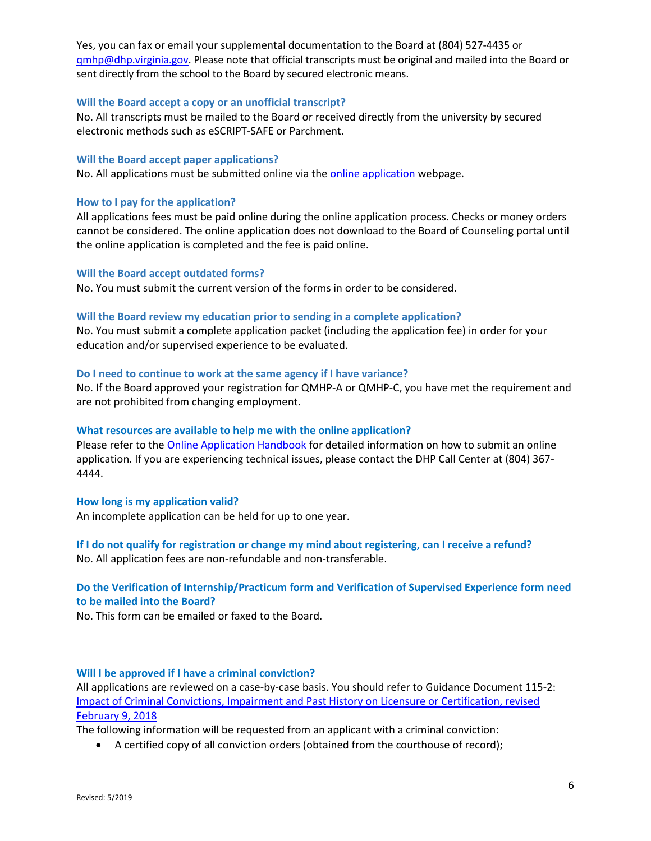Yes, you can fax or email your supplemental documentation to the Board at (804) 527-4435 or gmhp@dhp.virginia.gov. Please note that official transcripts must be original and mailed into the Board or sent directly from the school to the Board by secured electronic means.

### **Will the Board accept a copy or an unofficial transcript?**

No. All transcripts must be mailed to the Board or received directly from the university by secured electronic methods such as eSCRIPT-SAFE or Parchment.

#### **Will the Board accept paper applications?**

No. All applications must be submitted online via th[e online application](https://www.dhp.virginia.gov/counseling/QHMPapplicants.htm) webpage.

#### **How to I pay for the application?**

All applications fees must be paid online during the online application process. Checks or money orders cannot be considered. The online application does not download to the Board of Counseling portal until the online application is completed and the fee is paid online.

#### **Will the Board accept outdated forms?**

No. You must submit the current version of the forms in order to be considered.

#### **Will the Board review my education prior to sending in a complete application?**

No. You must submit a complete application packet (including the application fee) in order for your education and/or supervised experience to be evaluated.

#### **Do I need to continue to work at the same agency if I have variance?**

No. If the Board approved your registration for QMHP-A or QMHP-C, you have met the requirement and are not prohibited from changing employment.

### **What resources are available to help me with the online application?**

Please refer to the [Online Application Handbook](https://www.dhp.virginia.gov/Forms/counseling/Online_Application_Handbook_QMHP.pdf) for detailed information on how to submit an online application. If you are experiencing technical issues, please contact the DHP Call Center at (804) 367- 4444.

#### **How long is my application valid?**

An incomplete application can be held for up to one year.

### **If I do not qualify for registration or change my mind about registering, can I receive a refund?** No. All application fees are non-refundable and non-transferable.

### **Do the Verification of Internship/Practicum form and Verification of Supervised Experience form need to be mailed into the Board?**

No. This form can be emailed or faxed to the Board.

#### **Will I be approved if I have a criminal conviction?**

All applications are reviewed on a case-by-case basis. You should refer to Guidance Document 115-2: [Impact of Criminal Convictions, Impairment and Past History on Licensure or Certification, revised](https://www.dhp.virginia.gov/counseling/guidelines/115-2.doc)  [February 9, 2018](https://www.dhp.virginia.gov/counseling/guidelines/115-2.doc)

The following information will be requested from an applicant with a criminal conviction:

A certified copy of all conviction orders (obtained from the courthouse of record);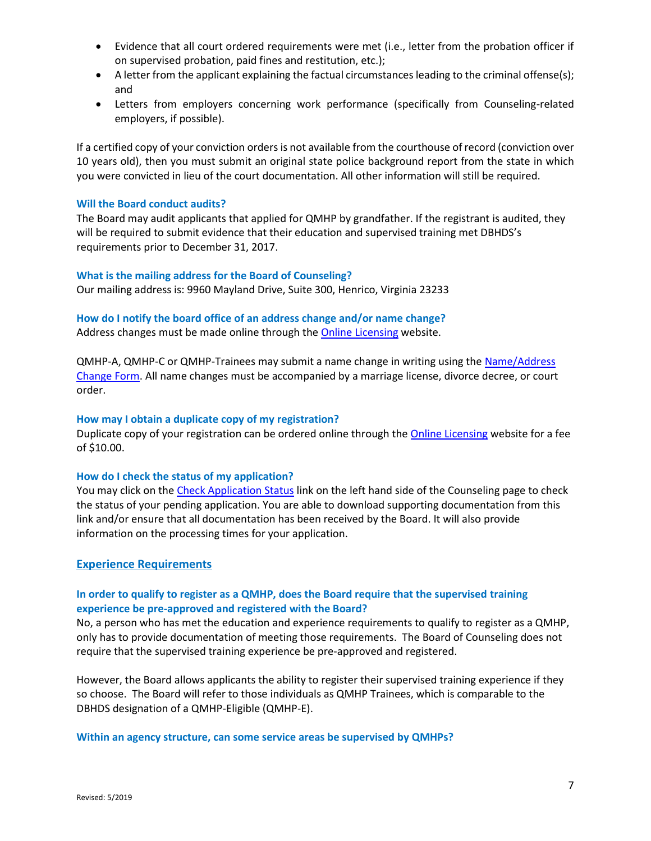- Evidence that all court ordered requirements were met (i.e., letter from the probation officer if on supervised probation, paid fines and restitution, etc.);
- A letter from the applicant explaining the factual circumstances leading to the criminal offense(s); and
- Letters from employers concerning work performance (specifically from Counseling-related employers, if possible).

If a certified copy of your conviction orders is not available from the courthouse of record (conviction over 10 years old), then you must submit an original state police background report from the state in which you were convicted in lieu of the court documentation. All other information will still be required.

### **Will the Board conduct audits?**

The Board may audit applicants that applied for QMHP by grandfather. If the registrant is audited, they will be required to submit evidence that their education and supervised training met DBHDS's requirements prior to December 31, 2017.

### **What is the mailing address for the Board of Counseling?**

Our mailing address is: 9960 Mayland Drive, Suite 300, Henrico, Virginia 23233

### **How do I notify the board office of an address change and/or name change?**

Address changes must be made online through the [Online Licensing](https://www.dhp.virginia.gov/mylicense/renewalintro.asp) website.

QMHP-A, QMHP-C or QMHP-Trainees may submit a name change in writing using the Name/Address [Change Form.](https://www.dhp.virginia.gov/counseling/counseling_forms.htm) All name changes must be accompanied by a marriage license, divorce decree, or court order.

### **How may I obtain a duplicate copy of my registration?**

Duplicate copy of your registration can be ordered online through the [Online Licensing](https://www.dhp.virginia.gov/mylicense/renewalintro.asp) website for a fee of \$10.00.

### **How do I check the status of my application?**

You may click on the [Check Application Status](https://www.dhp.virginia.gov/counseling/counseling_app_status.htm) link on the left hand side of the Counseling page to check the status of your pending application. You are able to download supporting documentation from this link and/or ensure that all documentation has been received by the Board. It will also provide information on the processing times for your application.

### <span id="page-6-0"></span>**Experience Requirements**

### **In order to qualify to register as a QMHP, does the Board require that the supervised training experience be pre-approved and registered with the Board?**

No, a person who has met the education and experience requirements to qualify to register as a QMHP, only has to provide documentation of meeting those requirements. The Board of Counseling does not require that the supervised training experience be pre-approved and registered.

However, the Board allows applicants the ability to register their supervised training experience if they so choose. The Board will refer to those individuals as QMHP Trainees, which is comparable to the DBHDS designation of a QMHP-Eligible (QMHP-E).

**Within an agency structure, can some service areas be supervised by QMHPs?**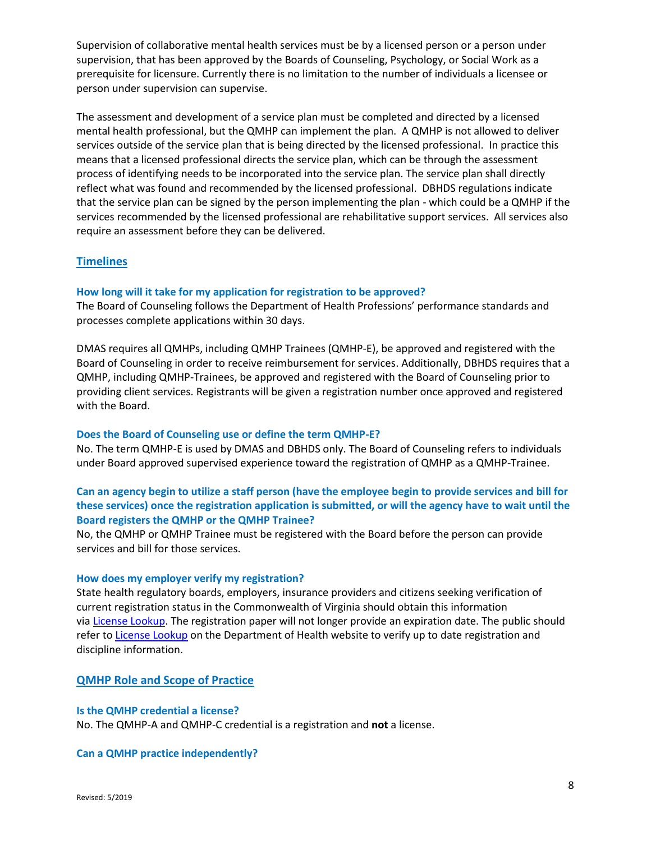Supervision of collaborative mental health services must be by a licensed person or a person under supervision, that has been approved by the Boards of Counseling, Psychology, or Social Work as a prerequisite for licensure. Currently there is no limitation to the number of individuals a licensee or person under supervision can supervise.

The assessment and development of a service plan must be completed and directed by a licensed mental health professional, but the QMHP can implement the plan. A QMHP is not allowed to deliver services outside of the service plan that is being directed by the licensed professional. In practice this means that a licensed professional directs the service plan, which can be through the assessment process of identifying needs to be incorporated into the service plan. The service plan shall directly reflect what was found and recommended by the licensed professional. DBHDS regulations indicate that the service plan can be signed by the person implementing the plan - which could be a QMHP if the services recommended by the licensed professional are rehabilitative support services. All services also require an assessment before they can be delivered.

### <span id="page-7-0"></span>**Timelines**

#### **How long will it take for my application for registration to be approved?**

The Board of Counseling follows the Department of Health Professions' performance standards and processes complete applications within 30 days.

DMAS requires all QMHPs, including QMHP Trainees (QMHP-E), be approved and registered with the Board of Counseling in order to receive reimbursement for services. Additionally, DBHDS requires that a QMHP, including QMHP-Trainees, be approved and registered with the Board of Counseling prior to providing client services. Registrants will be given a registration number once approved and registered with the Board.

#### **Does the Board of Counseling use or define the term QMHP-E?**

No. The term QMHP-E is used by DMAS and DBHDS only. The Board of Counseling refers to individuals under Board approved supervised experience toward the registration of QMHP as a QMHP-Trainee.

### **Can an agency begin to utilize a staff person (have the employee begin to provide services and bill for these services) once the registration application is submitted, or will the agency have to wait until the Board registers the QMHP or the QMHP Trainee?**

No, the QMHP or QMHP Trainee must be registered with the Board before the person can provide services and bill for those services.

#### **How does my employer verify my registration?**

State health regulatory boards, employers, insurance providers and citizens seeking verification of current registration status in the Commonwealth of Virginia should obtain this information via License [Lookup.](https://dhp.virginiainteractive.org/Lookup/Index) The registration paper will not longer provide an expiration date. The public should refer t[o License](https://dhp.virginiainteractive.org/Lookup/Index) Lookup on the Department of Health website to verify up to date registration and discipline information.

#### <span id="page-7-1"></span>**QMHP Role and Scope of Practice**

#### **Is the QMHP credential a license?**

No. The QMHP-A and QMHP-C credential is a registration and **not** a license.

### **Can a QMHP practice independently?**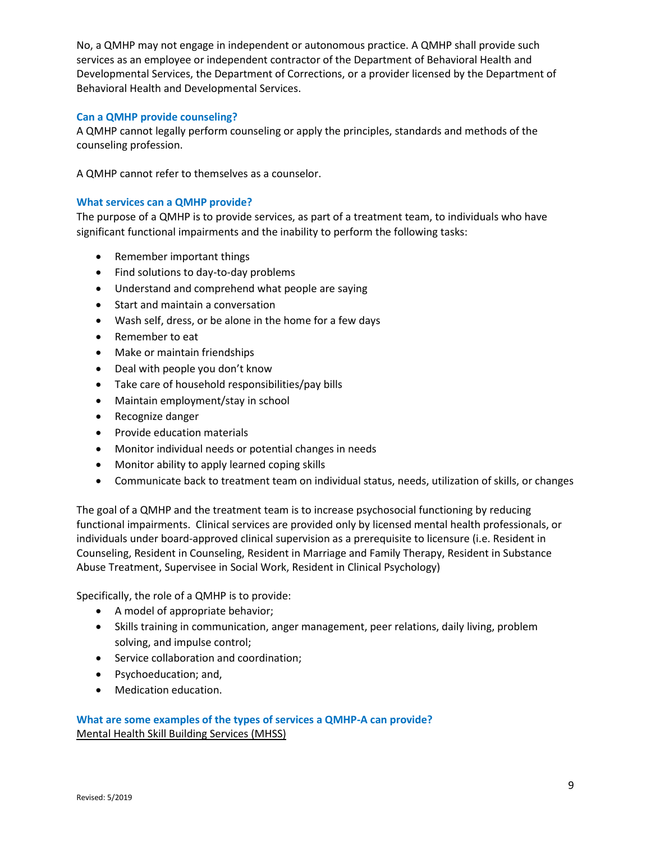No, a QMHP may not engage in independent or autonomous practice. A QMHP shall provide such services as an employee or independent contractor of the Department of Behavioral Health and Developmental Services, the Department of Corrections, or a provider licensed by the Department of Behavioral Health and Developmental Services.

### **Can a QMHP provide counseling?**

A QMHP cannot legally perform counseling or apply the principles, standards and methods of the counseling profession.

A QMHP cannot refer to themselves as a counselor.

### **What services can a QMHP provide?**

The purpose of a QMHP is to provide services, as part of a treatment team, to individuals who have significant functional impairments and the inability to perform the following tasks:

- Remember important things
- Find solutions to day-to-day problems
- Understand and comprehend what people are saying
- Start and maintain a conversation
- Wash self, dress, or be alone in the home for a few days
- Remember to eat
- Make or maintain friendships
- Deal with people you don't know
- Take care of household responsibilities/pay bills
- Maintain employment/stay in school
- Recognize danger
- **•** Provide education materials
- Monitor individual needs or potential changes in needs
- Monitor ability to apply learned coping skills
- Communicate back to treatment team on individual status, needs, utilization of skills, or changes

The goal of a QMHP and the treatment team is to increase psychosocial functioning by reducing functional impairments. Clinical services are provided only by licensed mental health professionals, or individuals under board-approved clinical supervision as a prerequisite to licensure (i.e. Resident in Counseling, Resident in Counseling, Resident in Marriage and Family Therapy, Resident in Substance Abuse Treatment, Supervisee in Social Work, Resident in Clinical Psychology)

Specifically, the role of a QMHP is to provide:

- A model of appropriate behavior;
- Skills training in communication, anger management, peer relations, daily living, problem solving, and impulse control;
- **•** Service collaboration and coordination;
- Psychoeducation; and,
- Medication education.

### **What are some examples of the types of services a QMHP-A can provide?** Mental Health Skill Building Services (MHSS)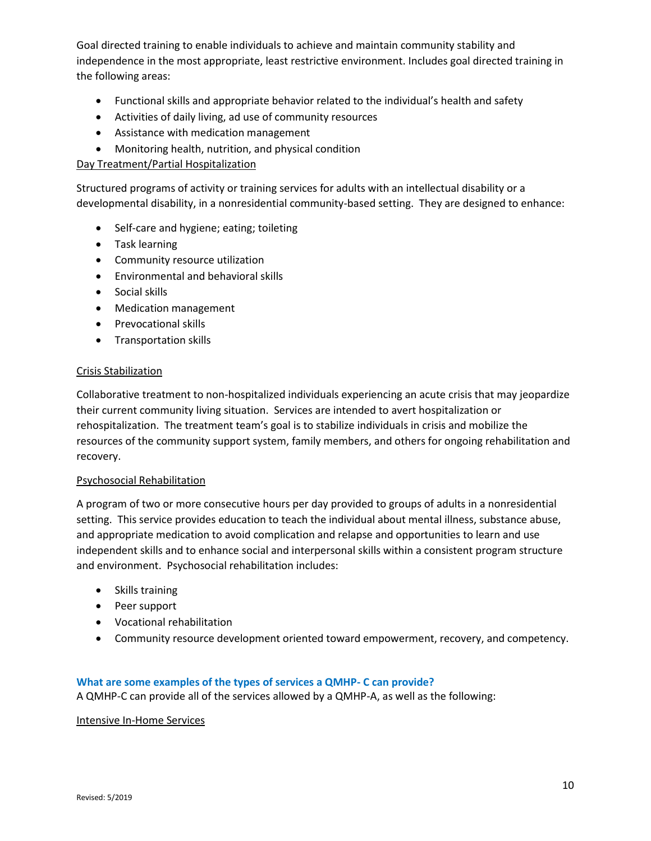Goal directed training to enable individuals to achieve and maintain community stability and independence in the most appropriate, least restrictive environment. Includes goal directed training in the following areas:

- Functional skills and appropriate behavior related to the individual's health and safety
- Activities of daily living, ad use of community resources
- Assistance with medication management
- Monitoring health, nutrition, and physical condition

### Day Treatment/Partial Hospitalization

Structured programs of activity or training services for adults with an intellectual disability or a developmental disability, in a nonresidential community-based setting. They are designed to enhance:

- Self-care and hygiene; eating; toileting
- Task learning
- Community resource utilization
- Environmental and behavioral skills
- Social skills
- Medication management
- Prevocational skills
- Transportation skills

### Crisis Stabilization

Collaborative treatment to non-hospitalized individuals experiencing an acute crisis that may jeopardize their current community living situation. Services are intended to avert hospitalization or rehospitalization. The treatment team's goal is to stabilize individuals in crisis and mobilize the resources of the community support system, family members, and others for ongoing rehabilitation and recovery.

### Psychosocial Rehabilitation

A program of two or more consecutive hours per day provided to groups of adults in a nonresidential setting. This service provides education to teach the individual about mental illness, substance abuse, and appropriate medication to avoid complication and relapse and opportunities to learn and use independent skills and to enhance social and interpersonal skills within a consistent program structure and environment. Psychosocial rehabilitation includes:

- Skills training
- Peer support
- Vocational rehabilitation
- Community resource development oriented toward empowerment, recovery, and competency.

### **What are some examples of the types of services a QMHP- C can provide?**

A QMHP-C can provide all of the services allowed by a QMHP-A, as well as the following:

### Intensive In-Home Services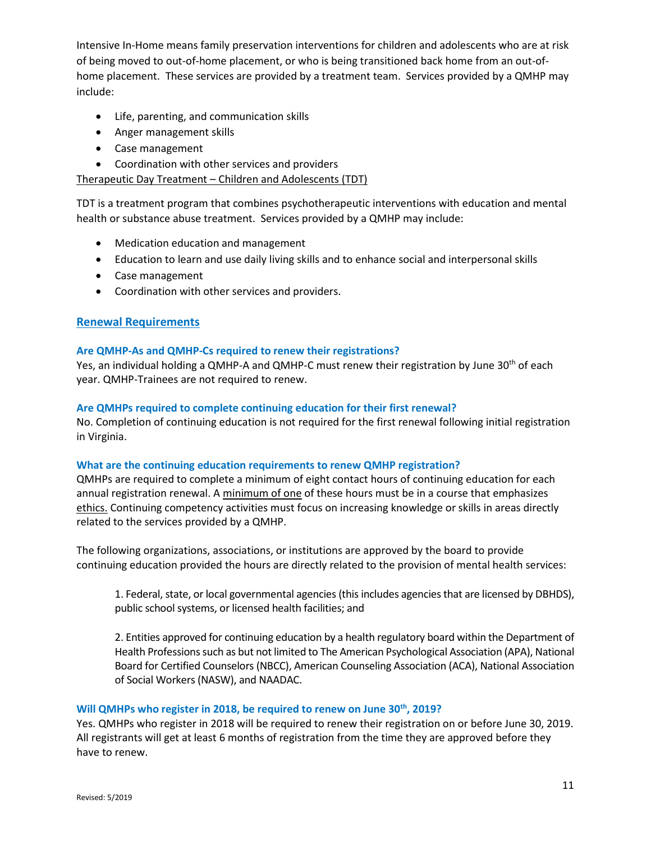Intensive In-Home means family preservation interventions for children and adolescents who are at risk of being moved to out-of-home placement, or who is being transitioned back home from an out-ofhome placement. These services are provided by a treatment team. Services provided by a QMHP may include:

- Life, parenting, and communication skills
- Anger management skills
- Case management
- Coordination with other services and providers

### Therapeutic Day Treatment – Children and Adolescents (TDT)

TDT is a treatment program that combines psychotherapeutic interventions with education and mental health or substance abuse treatment. Services provided by a QMHP may include:

- Medication education and management
- Education to learn and use daily living skills and to enhance social and interpersonal skills
- Case management
- Coordination with other services and providers.

### <span id="page-10-0"></span>**Renewal Requirements**

### **Are QMHP-As and QMHP-Cs required to renew their registrations?**

Yes, an individual holding a QMHP-A and QMHP-C must renew their registration by June 30<sup>th</sup> of each year. QMHP-Trainees are not required to renew.

#### **Are QMHPs required to complete continuing education for their first renewal?**

No. Completion of continuing education is not required for the first renewal following initial registration in Virginia.

#### **What are the continuing education requirements to renew QMHP registration?**

QMHPs are required to complete a minimum of eight contact hours of continuing education for each annual registration renewal. A minimum of one of these hours must be in a course that emphasizes ethics. Continuing competency activities must focus on increasing knowledge or skills in areas directly related to the services provided by a QMHP.

The following organizations, associations, or institutions are approved by the board to provide continuing education provided the hours are directly related to the provision of mental health services:

1. Federal, state, or local governmental agencies (this includes agencies that are licensed by DBHDS), public school systems, or licensed health facilities; and

2. Entities approved for continuing education by a health regulatory board within the Department of Health Professions such as but not limited to The American Psychological Association (APA), National Board for Certified Counselors (NBCC), American Counseling Association (ACA), National Association of Social Workers (NASW), and NAADAC.

### **Will QMHPs who register in 2018, be required to renew on June 30th, 2019?**

Yes. QMHPs who register in 2018 will be required to renew their registration on or before June 30, 2019. All registrants will get at least 6 months of registration from the time they are approved before they have to renew.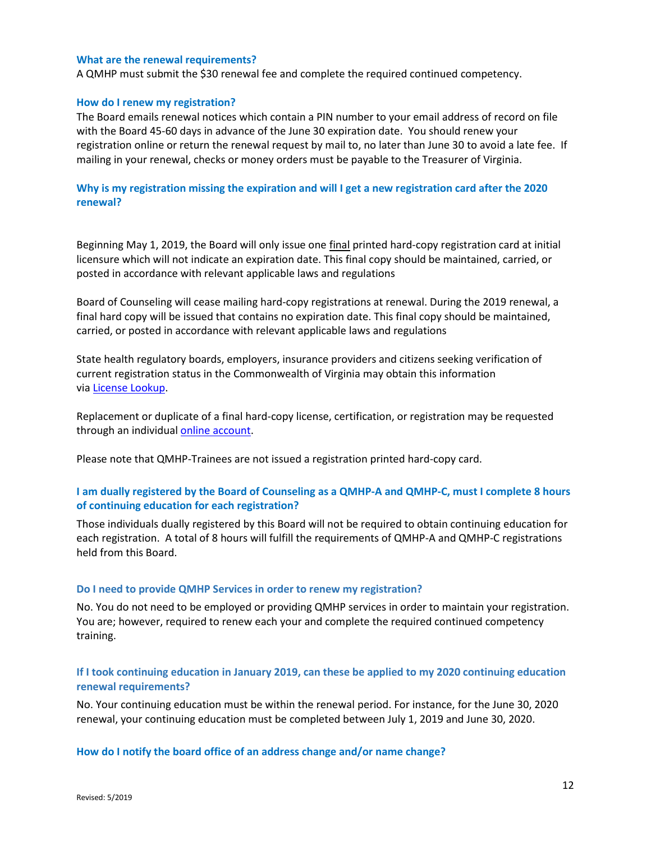#### **What are the renewal requirements?**

A QMHP must submit the \$30 renewal fee and complete the required continued competency.

#### **How do I renew my registration?**

The Board emails renewal notices which contain a PIN number to your email address of record on file with the Board 45-60 days in advance of the June 30 expiration date. You should renew your registration online or return the renewal request by mail to, no later than June 30 to avoid a late fee. If mailing in your renewal, checks or money orders must be payable to the Treasurer of Virginia.

### **Why is my registration missing the expiration and will I get a new registration card after the 2020 renewal?**

Beginning May 1, 2019, the Board will only issue one final printed hard-copy registration card at initial licensure which will not indicate an expiration date. This final copy should be maintained, carried, or posted in accordance with relevant applicable laws and regulations

Board of Counseling will cease mailing hard-copy registrations at renewal. During the 2019 renewal, a final hard copy will be issued that contains no expiration date. This final copy should be maintained, carried, or posted in accordance with relevant applicable laws and regulations

State health regulatory boards, employers, insurance providers and citizens seeking verification of current registration status in the Commonwealth of Virginia may obtain this information via License [Lookup.](https://dhp.virginiainteractive.org/Lookup/Index)

Replacement or duplicate of a final hard-copy license, certification, or registration may be requested through an individual online [account.](https://www.dhp.virginia.gov/mylicense/renewalintro.asp)

Please note that QMHP-Trainees are not issued a registration printed hard-copy card.

### **I am dually registered by the Board of Counseling as a QMHP-A and QMHP-C, must I complete 8 hours of continuing education for each registration?**

Those individuals dually registered by this Board will not be required to obtain continuing education for each registration. A total of 8 hours will fulfill the requirements of QMHP-A and QMHP-C registrations held from this Board.

#### **Do I need to provide QMHP Services in order to renew my registration?**

No. You do not need to be employed or providing QMHP services in order to maintain your registration. You are; however, required to renew each your and complete the required continued competency training.

### **If I took continuing education in January 2019, can these be applied to my 2020 continuing education renewal requirements?**

No. Your continuing education must be within the renewal period. For instance, for the June 30, 2020 renewal, your continuing education must be completed between July 1, 2019 and June 30, 2020.

### **How do I notify the board office of an address change and/or name change?**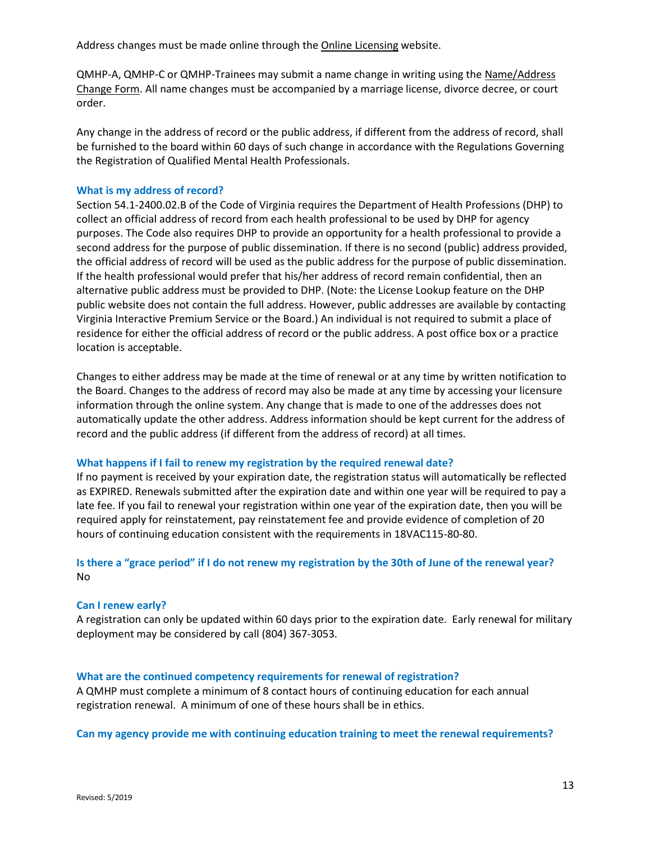Address changes must be made online through the [Online Licensing](https://www.dhp.virginia.gov/mylicense/renewalintro.asp) website.

QMHP-A, QMHP-C or QMHP-Trainees may submit a name change in writing using the [Name/Address](https://www.dhp.virginia.gov/counseling/counseling_forms.htm)  [Change Form.](https://www.dhp.virginia.gov/counseling/counseling_forms.htm) All name changes must be accompanied by a marriage license, divorce decree, or court order.

Any change in the address of record or the public address, if different from the address of record, shall be furnished to the board within 60 days of such change in accordance with the Regulations Governing the Registration of Qualified Mental Health Professionals.

### **What is my address of record?**

Section 54.1-2400.02.B of the Code of Virginia requires the Department of Health Professions (DHP) to collect an official address of record from each health professional to be used by DHP for agency purposes. The Code also requires DHP to provide an opportunity for a health professional to provide a second address for the purpose of public dissemination. If there is no second (public) address provided, the official address of record will be used as the public address for the purpose of public dissemination. If the health professional would prefer that his/her address of record remain confidential, then an alternative public address must be provided to DHP. (Note: the License Lookup feature on the DHP public website does not contain the full address. However, public addresses are available by contacting Virginia Interactive Premium Service or the Board.) An individual is not required to submit a place of residence for either the official address of record or the public address. A post office box or a practice location is acceptable.

Changes to either address may be made at the time of renewal or at any time by written notification to the Board. Changes to the address of record may also be made at any time by accessing your licensure information through the online system. Any change that is made to one of the addresses does not automatically update the other address. Address information should be kept current for the address of record and the public address (if different from the address of record) at all times.

### **What happens if I fail to renew my registration by the required renewal date?**

If no payment is received by your expiration date, the registration status will automatically be reflected as EXPIRED. Renewals submitted after the expiration date and within one year will be required to pay a late fee. If you fail to renewal your registration within one year of the expiration date, then you will be required apply for reinstatement, pay reinstatement fee and provide evidence of completion of 20 hours of continuing education consistent with the requirements in 18VAC115-80-80.

### **Is there a "grace period" if I do not renew my registration by the 30th of June of the renewal year?** No

### **Can I renew early?**

A registration can only be updated within 60 days prior to the expiration date. Early renewal for military deployment may be considered by call (804) 367-3053.

### **What are the continued competency requirements for renewal of registration?**

A QMHP must complete a minimum of 8 contact hours of continuing education for each annual registration renewal. A minimum of one of these hours shall be in ethics.

**Can my agency provide me with continuing education training to meet the renewal requirements?**